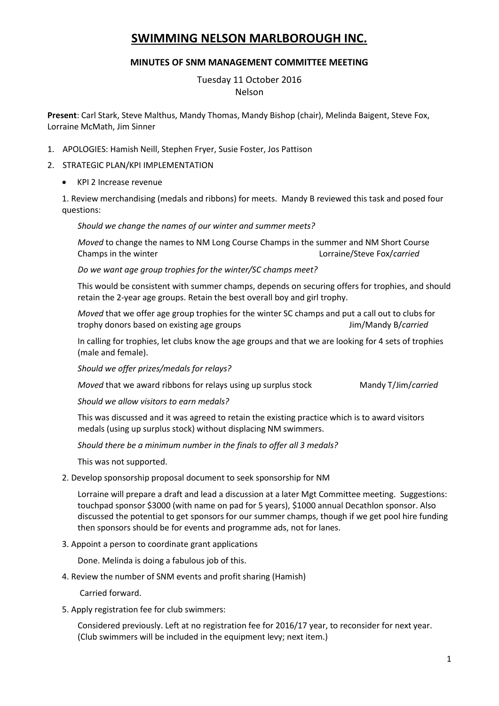# **SWIMMING NELSON MARLBOROUGH INC.**

## **MINUTES OF SNM MANAGEMENT COMMITTEE MEETING**

Tuesday 11 October 2016 Nelson

**Present**: Carl Stark, Steve Malthus, Mandy Thomas, Mandy Bishop (chair), Melinda Baigent, Steve Fox, Lorraine McMath, Jim Sinner

- 1. APOLOGIES: Hamish Neill, Stephen Fryer, Susie Foster, Jos Pattison
- 2. STRATEGIC PLAN/KPI IMPLEMENTATION
	- KPI 2 Increase revenue

1. Review merchandising (medals and ribbons) for meets. Mandy B reviewed this task and posed four questions:

*Should we change the names of our winter and summer meets?*

*Moved* to change the names to NM Long Course Champs in the summer and NM Short Course Champs in the winter Lorraine/Steve Fox/*carried*

*Do we want age group trophies for the winter/SC champs meet?* 

This would be consistent with summer champs, depends on securing offers for trophies, and should retain the 2-year age groups. Retain the best overall boy and girl trophy.

*Moved* that we offer age group trophies for the winter SC champs and put a call out to clubs for trophy donors based on existing age groups Jim/Mandy B/*carried*

In calling for trophies, let clubs know the age groups and that we are looking for 4 sets of trophies (male and female).

*Should we offer prizes/medals for relays?*

*Moved* that we award ribbons for relays using up surplus stock Mandy T/Jim/*carried* 

*Should we allow visitors to earn medals?*

This was discussed and it was agreed to retain the existing practice which is to award visitors medals (using up surplus stock) without displacing NM swimmers.

*Should there be a minimum number in the finals to offer all 3 medals?*

This was not supported.

2. Develop sponsorship proposal document to seek sponsorship for NM

Lorraine will prepare a draft and lead a discussion at a later Mgt Committee meeting. Suggestions: touchpad sponsor \$3000 (with name on pad for 5 years), \$1000 annual Decathlon sponsor. Also discussed the potential to get sponsors for our summer champs, though if we get pool hire funding then sponsors should be for events and programme ads, not for lanes.

3. Appoint a person to coordinate grant applications

Done. Melinda is doing a fabulous job of this.

4. Review the number of SNM events and profit sharing (Hamish)

Carried forward.

5. Apply registration fee for club swimmers:

Considered previously. Left at no registration fee for 2016/17 year, to reconsider for next year. (Club swimmers will be included in the equipment levy; next item.)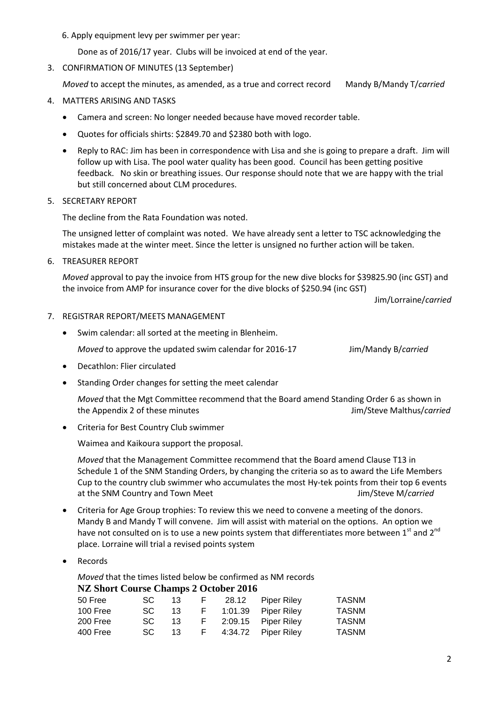#### 6. Apply equipment levy per swimmer per year:

Done as of 2016/17 year. Clubs will be invoiced at end of the year.

3. CONFIRMATION OF MINUTES (13 September)

*Moved* to accept the minutes, as amended, as a true and correct record Mandy B/Mandy T/*carried*

- 4. MATTERS ARISING AND TASKS
	- Camera and screen: No longer needed because have moved recorder table.
	- Quotes for officials shirts: \$2849.70 and \$2380 both with logo.
	- Reply to RAC: Jim has been in correspondence with Lisa and she is going to prepare a draft. Jim will follow up with Lisa. The pool water quality has been good. Council has been getting positive feedback. No skin or breathing issues. Our response should note that we are happy with the trial but still concerned about CLM procedures.

### 5. SECRETARY REPORT

The decline from the Rata Foundation was noted.

The unsigned letter of complaint was noted. We have already sent a letter to TSC acknowledging the mistakes made at the winter meet. Since the letter is unsigned no further action will be taken.

6. TREASURER REPORT

*Moved* approval to pay the invoice from HTS group for the new dive blocks for \$39825.90 (inc GST) and the invoice from AMP for insurance cover for the dive blocks of \$250.94 (inc GST)

Jim/Lorraine/*carried*

#### 7. REGISTRAR REPORT/MEETS MANAGEMENT

Swim calendar: all sorted at the meeting in Blenheim.

*Moved* to approve the updated swim calendar for 2016-17 Jim/Mandy B/*carried* 

- Decathlon: Flier circulated
- Standing Order changes for setting the meet calendar

*Moved* that the Mgt Committee recommend that the Board amend Standing Order 6 as shown in the Appendix 2 of these minutes Jim/Steve Malthus/*carried*

Criteria for Best Country Club swimmer

Waimea and Kaikoura support the proposal.

*Moved* that the Management Committee recommend that the Board amend Clause T13 in Schedule 1 of the SNM Standing Orders, by changing the criteria so as to award the Life Members Cup to the country club swimmer who accumulates the most Hy-tek points from their top 6 events at the SNM Country and Town Meet **Jim/Steve M**/*carried* 

- Criteria for Age Group trophies: To review this we need to convene a meeting of the donors. Mandy B and Mandy T will convene. Jim will assist with material on the options. An option we have not consulted on is to use a new points system that differentiates more between  $1^{st}$  and  $2^{nd}$ place. Lorraine will trial a revised points system
- Records

*Moved* that the times listed below be confirmed as NM records

#### **NZ Short Course Champs 2 October 2016**

| 50 Free  | $SC = 13$ |  | F 28.12 Piper Riley         | TASNM |
|----------|-----------|--|-----------------------------|-------|
| 100 Free |           |  | SC 13 F 1:01.39 Piper Riley | TASNM |
| 200 Free |           |  | SC 13 F 2:09.15 Piper Riley | TASNM |
| 400 Free |           |  | SC 13 F 4:34.72 Piper Riley | TASNM |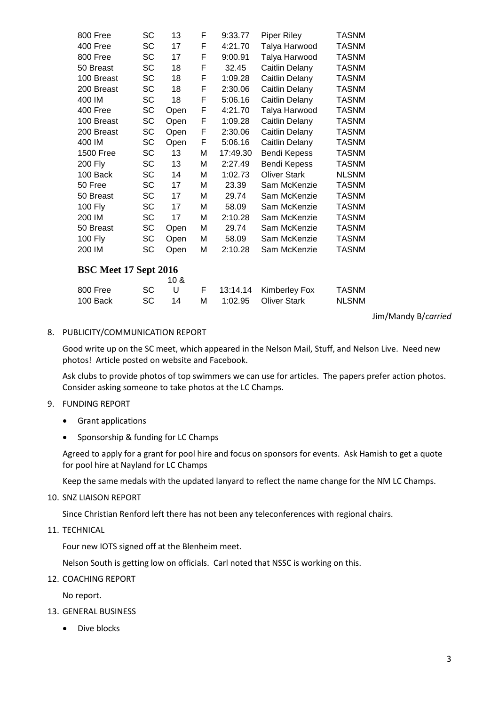| 800 Free              | SC        | 13              | F | 9:33.77  | <b>Piper Riley</b>   | <b>TASNM</b> |
|-----------------------|-----------|-----------------|---|----------|----------------------|--------------|
| 400 Free              | SC        | 17              | F | 4:21.70  | Talya Harwood        | <b>TASNM</b> |
| 800 Free              | SC        | 17              | F | 9:00.91  | Talya Harwood        | <b>TASNM</b> |
| 50 Breast             | <b>SC</b> | 18              | F | 32.45    | Caitlin Delany       | <b>TASNM</b> |
| 100 Breast            | SC        | 18              | F | 1:09.28  | Caitlin Delany       | <b>TASNM</b> |
| 200 Breast            | <b>SC</b> | 18              | F | 2:30.06  | Caitlin Delany       | <b>TASNM</b> |
| 400 IM                | SC        | 18              | F | 5:06.16  | Caitlin Delany       | <b>TASNM</b> |
| 400 Free              | <b>SC</b> | Open            | F | 4:21.70  | Talya Harwood        | <b>TASNM</b> |
| 100 Breast            | SC        | Open            | F | 1:09.28  | Caitlin Delany       | <b>TASNM</b> |
| 200 Breast            | SC        | Open            | F | 2:30.06  | Caitlin Delany       | <b>TASNM</b> |
| 400 IM                | <b>SC</b> | Open            | F | 5:06.16  | Caitlin Delany       | <b>TASNM</b> |
| <b>1500 Free</b>      | SC        | 13              | М | 17:49.30 | Bendi Kepess         | <b>TASNM</b> |
| 200 Fly               | SC        | 13              | М | 2:27.49  | Bendi Kepess         | <b>TASNM</b> |
| 100 Back              | <b>SC</b> | 14              | М | 1:02.73  | <b>Oliver Stark</b>  | <b>NLSNM</b> |
| 50 Free               | <b>SC</b> | 17              | М | 23.39    | Sam McKenzie         | <b>TASNM</b> |
| 50 Breast             | SC        | 17              | М | 29.74    | Sam McKenzie         | <b>TASNM</b> |
| 100 Fly               | <b>SC</b> | 17              | М | 58.09    | Sam McKenzie         | <b>TASNM</b> |
| 200 IM                | SC        | 17              | М | 2:10.28  | Sam McKenzie         | <b>TASNM</b> |
| 50 Breast             | SC        | Open            | М | 29.74    | Sam McKenzie         | <b>TASNM</b> |
| 100 Fly               | SC        | Open            | М | 58.09    | Sam McKenzie         | <b>TASNM</b> |
| 200 IM                | SC        | Open            | М | 2:10.28  | Sam McKenzie         | <b>TASNM</b> |
| BSC Meet 17 Sept 2016 |           |                 |   |          |                      |              |
|                       |           | 10 <sub>8</sub> |   |          |                      |              |
| 800 Free              | <b>SC</b> | U               | F | 13:14.14 | <b>Kimberley Fox</b> | <b>TASNM</b> |
| 100 Back              | SC        | 14              | М | 1:02.95  | <b>Oliver Stark</b>  | <b>NLSNM</b> |

Jim/Mandy B/*carried*

#### 8. PUBLICITY/COMMUNICATION REPORT

Good write up on the SC meet, which appeared in the Nelson Mail, Stuff, and Nelson Live. Need new photos! Article posted on website and Facebook.

Ask clubs to provide photos of top swimmers we can use for articles. The papers prefer action photos. Consider asking someone to take photos at the LC Champs.

- 9. FUNDING REPORT
	- Grant applications
	- Sponsorship & funding for LC Champs

Agreed to apply for a grant for pool hire and focus on sponsors for events. Ask Hamish to get a quote for pool hire at Nayland for LC Champs

Keep the same medals with the updated lanyard to reflect the name change for the NM LC Champs.

10. SNZ LIAISON REPORT

Since Christian Renford left there has not been any teleconferences with regional chairs.

11. TECHNICAL

Four new IOTS signed off at the Blenheim meet.

Nelson South is getting low on officials. Carl noted that NSSC is working on this.

12. COACHING REPORT

No report.

- 13. GENERAL BUSINESS
	- Dive blocks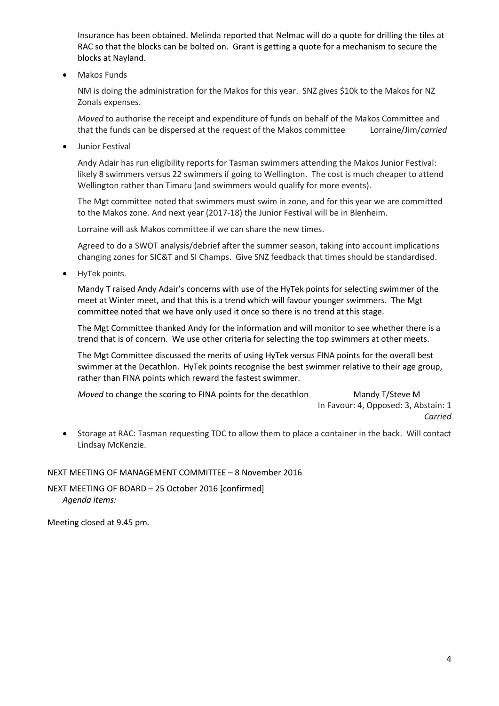Insurance has been obtained. Melinda reported that Nelmac will do a quote for drilling the tiles at RAC so that the blocks can be bolted on. Grant is getting a quote for a mechanism to secure the blocks at Nayland.

Makos Funds

NM is doing the administration for the Makos for this year. SNZ gives \$10k to the Makos for NZ Zonals expenses.

*Moved* to authorise the receipt and expenditure of funds on behalf of the Makos Committee and that the funds can be dispersed at the request of the Makos committee Lorraine/Jim/*carried*

**•** Junior Festival

Andy Adair has run eligibility reports for Tasman swimmers attending the Makos Junior Festival: likely 8 swimmers versus 22 swimmers if going to Wellington. The cost is much cheaper to attend Wellington rather than Timaru (and swimmers would qualify for more events).

The Mgt committee noted that swimmers must swim in zone, and for this year we are committed to the Makos zone. And next year (2017-18) the Junior Festival will be in Blenheim.

Lorraine will ask Makos committee if we can share the new times.

Agreed to do a SWOT analysis/debrief after the summer season, taking into account implications changing zones for SIC&T and SI Champs. Give SNZ feedback that times should be standardised.

• HyTek points.

Mandy T raised Andy Adair's concerns with use of the HyTek points for selecting swimmer of the meet at Winter meet, and that this is a trend which will favour younger swimmers. The Mgt committee noted that we have only used it once so there is no trend at this stage.

The Mgt Committee thanked Andy for the information and will monitor to see whether there is a trend that is of concern. We use other criteria for selecting the top swimmers at other meets.

The Mgt Committee discussed the merits of using HyTek versus FINA points for the overall best swimmer at the Decathlon. HyTek points recognise the best swimmer relative to their age group, rather than FINA points which reward the fastest swimmer.

*Moved* to change the scoring to FINA points for the decathlon Mandy T/Steve M

In Favour: 4, Opposed: 3, Abstain: 1 *Carried*

 Storage at RAC: Tasman requesting TDC to allow them to place a container in the back. Will contact Lindsay McKenzie.

NEXT MEETING OF MANAGEMENT COMMITTEE – 8 November 2016

NEXT MEETING OF BOARD – 25 October 2016 [confirmed] *Agenda items:*

Meeting closed at 9.45 pm.